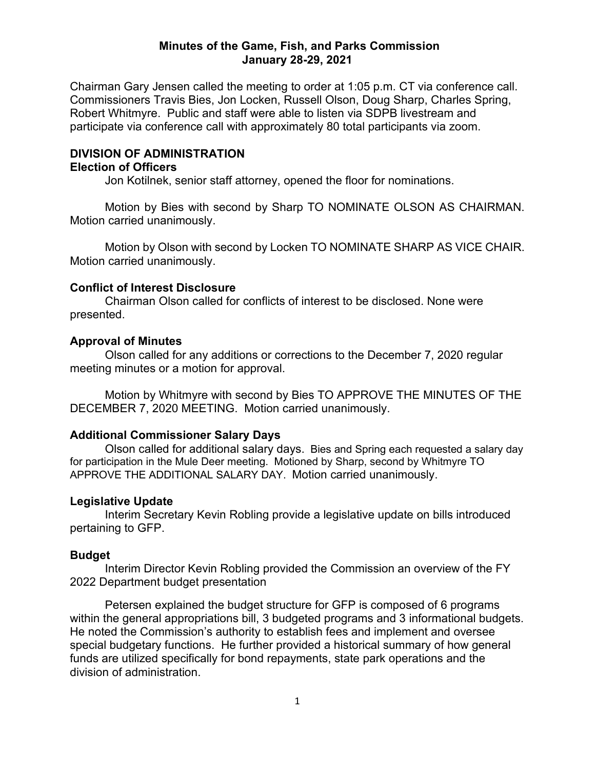### **Minutes of the Game, Fish, and Parks Commission January 28-29, 2021**

Chairman Gary Jensen called the meeting to order at 1:05 p.m. CT via conference call. Commissioners Travis Bies, Jon Locken, Russell Olson, Doug Sharp, Charles Spring, Robert Whitmyre. Public and staff were able to listen via SDPB livestream and participate via conference call with approximately 80 total participants via zoom.

# **DIVISION OF ADMINISTRATION**

## **Election of Officers**

Jon Kotilnek, senior staff attorney, opened the floor for nominations.

Motion by Bies with second by Sharp TO NOMINATE OLSON AS CHAIRMAN. Motion carried unanimously.

Motion by Olson with second by Locken TO NOMINATE SHARP AS VICE CHAIR. Motion carried unanimously.

#### **Conflict of Interest Disclosure**

Chairman Olson called for conflicts of interest to be disclosed. None were presented.

### **Approval of Minutes**

Olson called for any additions or corrections to the December 7, 2020 regular meeting minutes or a motion for approval.

Motion by Whitmyre with second by Bies TO APPROVE THE MINUTES OF THE DECEMBER 7, 2020 MEETING. Motion carried unanimously.

# **Additional Commissioner Salary Days**

Olson called for additional salary days. Bies and Spring each requested a salary day for participation in the Mule Deer meeting. Motioned by Sharp, second by Whitmyre TO APPROVE THE ADDITIONAL SALARY DAY. Motion carried unanimously.

#### **Legislative Update**

Interim Secretary Kevin Robling provide a legislative update on bills introduced pertaining to GFP.

#### **Budget**

Interim Director Kevin Robling provided the Commission an overview of the FY 2022 Department budget presentation

Petersen explained the budget structure for GFP is composed of 6 programs within the general appropriations bill, 3 budgeted programs and 3 informational budgets. He noted the Commission's authority to establish fees and implement and oversee special budgetary functions. He further provided a historical summary of how general funds are utilized specifically for bond repayments, state park operations and the division of administration.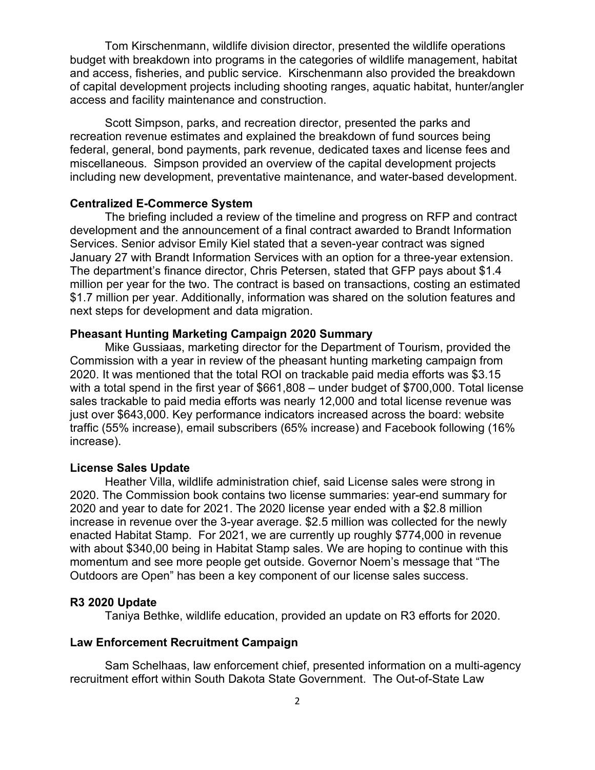Tom Kirschenmann, wildlife division director, presented the wildlife operations budget with breakdown into programs in the categories of wildlife management, habitat and access, fisheries, and public service. Kirschenmann also provided the breakdown of capital development projects including shooting ranges, aquatic habitat, hunter/angler access and facility maintenance and construction.

Scott Simpson, parks, and recreation director, presented the parks and recreation revenue estimates and explained the breakdown of fund sources being federal, general, bond payments, park revenue, dedicated taxes and license fees and miscellaneous. Simpson provided an overview of the capital development projects including new development, preventative maintenance, and water-based development.

## **Centralized E-Commerce System**

The briefing included a review of the timeline and progress on RFP and contract development and the announcement of a final contract awarded to Brandt Information Services. Senior advisor Emily Kiel stated that a seven-year contract was signed January 27 with Brandt Information Services with an option for a three-year extension. The department's finance director, Chris Petersen, stated that GFP pays about \$1.4 million per year for the two. The contract is based on transactions, costing an estimated \$1.7 million per year. Additionally, information was shared on the solution features and next steps for development and data migration.

#### **Pheasant Hunting Marketing Campaign 2020 Summary**

Mike Gussiaas, marketing director for the Department of Tourism, provided the Commission with a year in review of the pheasant hunting marketing campaign from 2020. It was mentioned that the total ROI on trackable paid media efforts was \$3.15 with a total spend in the first year of \$661,808 – under budget of \$700,000. Total license sales trackable to paid media efforts was nearly 12,000 and total license revenue was just over \$643,000. Key performance indicators increased across the board: website traffic (55% increase), email subscribers (65% increase) and Facebook following (16% increase).

### **License Sales Update**

Heather Villa, wildlife administration chief, said License sales were strong in 2020. The Commission book contains two license summaries: year-end summary for 2020 and year to date for 2021. The 2020 license year ended with a \$2.8 million increase in revenue over the 3-year average. \$2.5 million was collected for the newly enacted Habitat Stamp. For 2021, we are currently up roughly \$774,000 in revenue with about \$340,00 being in Habitat Stamp sales. We are hoping to continue with this momentum and see more people get outside. Governor Noem's message that "The Outdoors are Open" has been a key component of our license sales success.

#### **R3 2020 Update**

Taniya Bethke, wildlife education, provided an update on R3 efforts for 2020.

#### **Law Enforcement Recruitment Campaign**

Sam Schelhaas, law enforcement chief, presented information on a multi-agency recruitment effort within South Dakota State Government. The Out-of-State Law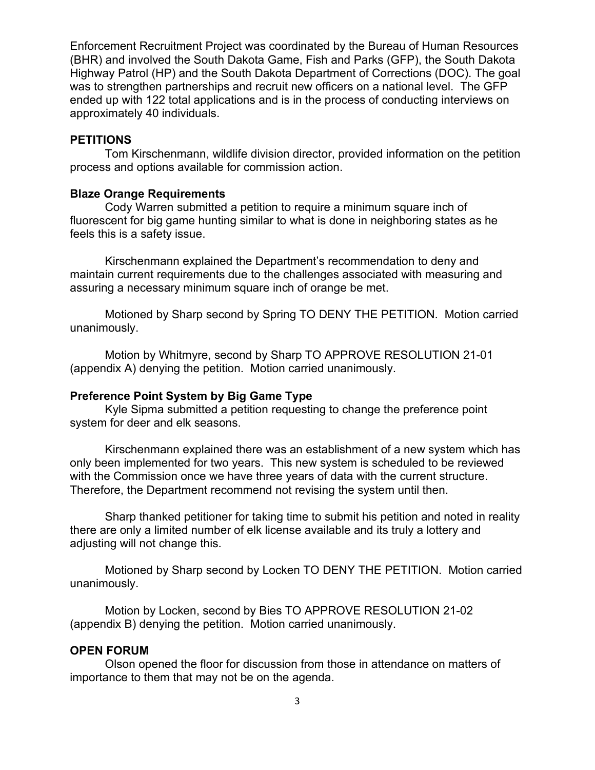Enforcement Recruitment Project was coordinated by the Bureau of Human Resources (BHR) and involved the South Dakota Game, Fish and Parks (GFP), the South Dakota Highway Patrol (HP) and the South Dakota Department of Corrections (DOC). The goal was to strengthen partnerships and recruit new officers on a national level. The GFP ended up with 122 total applications and is in the process of conducting interviews on approximately 40 individuals.

# **PETITIONS**

Tom Kirschenmann, wildlife division director, provided information on the petition process and options available for commission action.

#### **Blaze Orange Requirements**

Cody Warren submitted a petition to require a minimum square inch of fluorescent for big game hunting similar to what is done in neighboring states as he feels this is a safety issue.

Kirschenmann explained the Department's recommendation to deny and maintain current requirements due to the challenges associated with measuring and assuring a necessary minimum square inch of orange be met.

Motioned by Sharp second by Spring TO DENY THE PETITION. Motion carried unanimously.

Motion by Whitmyre, second by Sharp TO APPROVE RESOLUTION 21-01 (appendix A) denying the petition. Motion carried unanimously.

#### **Preference Point System by Big Game Type**

Kyle Sipma submitted a petition requesting to change the preference point system for deer and elk seasons.

Kirschenmann explained there was an establishment of a new system which has only been implemented for two years. This new system is scheduled to be reviewed with the Commission once we have three years of data with the current structure. Therefore, the Department recommend not revising the system until then.

Sharp thanked petitioner for taking time to submit his petition and noted in reality there are only a limited number of elk license available and its truly a lottery and adjusting will not change this.

Motioned by Sharp second by Locken TO DENY THE PETITION. Motion carried unanimously.

Motion by Locken, second by Bies TO APPROVE RESOLUTION 21-02 (appendix B) denying the petition. Motion carried unanimously.

#### **OPEN FORUM**

Olson opened the floor for discussion from those in attendance on matters of importance to them that may not be on the agenda.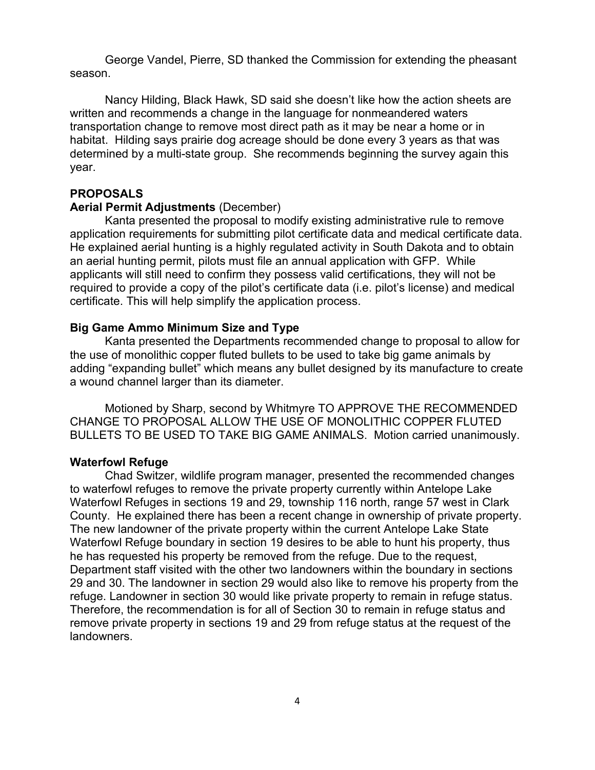George Vandel, Pierre, SD thanked the Commission for extending the pheasant season.

Nancy Hilding, Black Hawk, SD said she doesn't like how the action sheets are written and recommends a change in the language for nonmeandered waters transportation change to remove most direct path as it may be near a home or in habitat. Hilding says prairie dog acreage should be done every 3 years as that was determined by a multi-state group. She recommends beginning the survey again this year.

# **PROPOSALS**

#### **Aerial Permit Adjustments** (December)

Kanta presented the proposal to modify existing administrative rule to remove application requirements for submitting pilot certificate data and medical certificate data. He explained aerial hunting is a highly regulated activity in South Dakota and to obtain an aerial hunting permit, pilots must file an annual application with GFP. While applicants will still need to confirm they possess valid certifications, they will not be required to provide a copy of the pilot's certificate data (i.e. pilot's license) and medical certificate. This will help simplify the application process.

# **Big Game Ammo Minimum Size and Type**

Kanta presented the Departments recommended change to proposal to allow for the use of monolithic copper fluted bullets to be used to take big game animals by adding "expanding bullet" which means any bullet designed by its manufacture to create a wound channel larger than its diameter.

Motioned by Sharp, second by Whitmyre TO APPROVE THE RECOMMENDED CHANGE TO PROPOSAL ALLOW THE USE OF MONOLITHIC COPPER FLUTED BULLETS TO BE USED TO TAKE BIG GAME ANIMALS. Motion carried unanimously.

#### **Waterfowl Refuge**

Chad Switzer, wildlife program manager, presented the recommended changes to waterfowl refuges to remove the private property currently within Antelope Lake Waterfowl Refuges in sections 19 and 29, township 116 north, range 57 west in Clark County. He explained there has been a recent change in ownership of private property. The new landowner of the private property within the current Antelope Lake State Waterfowl Refuge boundary in section 19 desires to be able to hunt his property, thus he has requested his property be removed from the refuge. Due to the request, Department staff visited with the other two landowners within the boundary in sections 29 and 30. The landowner in section 29 would also like to remove his property from the refuge. Landowner in section 30 would like private property to remain in refuge status. Therefore, the recommendation is for all of Section 30 to remain in refuge status and remove private property in sections 19 and 29 from refuge status at the request of the landowners.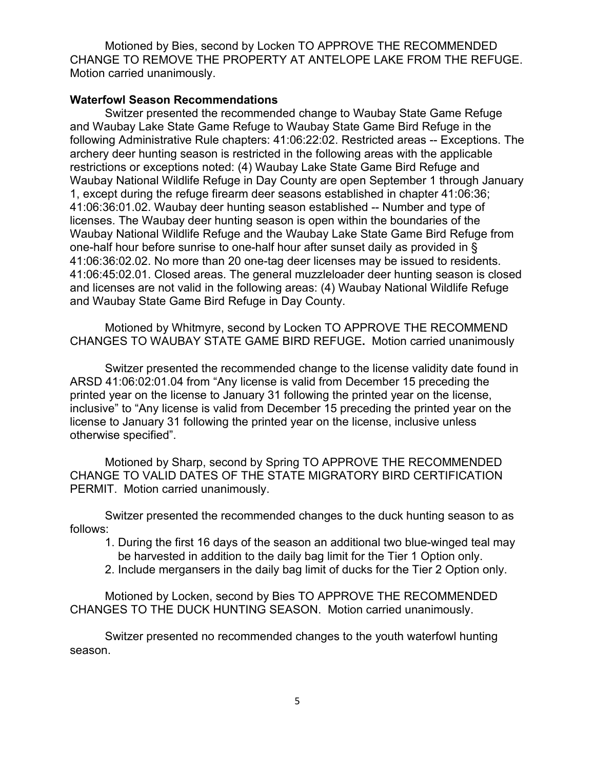Motioned by Bies, second by Locken TO APPROVE THE RECOMMENDED CHANGE TO REMOVE THE PROPERTY AT ANTELOPE LAKE FROM THE REFUGE. Motion carried unanimously.

### **Waterfowl Season Recommendations**

Switzer presented the recommended change to Waubay State Game Refuge and Waubay Lake State Game Refuge to Waubay State Game Bird Refuge in the following Administrative Rule chapters: 41:06:22:02. Restricted areas -- Exceptions. The archery deer hunting season is restricted in the following areas with the applicable restrictions or exceptions noted: (4) Waubay Lake State Game Bird Refuge and Waubay National Wildlife Refuge in Day County are open September 1 through January 1, except during the refuge firearm deer seasons established in chapter 41:06:36; 41:06:36:01.02. Waubay deer hunting season established -- Number and type of licenses. The Waubay deer hunting season is open within the boundaries of the Waubay National Wildlife Refuge and the Waubay Lake State Game Bird Refuge from one-half hour before sunrise to one-half hour after sunset daily as provided in § 41:06:36:02.02. No more than 20 one-tag deer licenses may be issued to residents. 41:06:45:02.01. Closed areas. The general muzzleloader deer hunting season is closed and licenses are not valid in the following areas: (4) Waubay National Wildlife Refuge and Waubay State Game Bird Refuge in Day County.

Motioned by Whitmyre, second by Locken TO APPROVE THE RECOMMEND CHANGES TO WAUBAY STATE GAME BIRD REFUGE**.** Motion carried unanimously

Switzer presented the recommended change to the license validity date found in ARSD 41:06:02:01.04 from "Any license is valid from December 15 preceding the printed year on the license to January 31 following the printed year on the license, inclusive" to "Any license is valid from December 15 preceding the printed year on the license to January 31 following the printed year on the license, inclusive unless otherwise specified".

Motioned by Sharp, second by Spring TO APPROVE THE RECOMMENDED CHANGE TO VALID DATES OF THE STATE MIGRATORY BIRD CERTIFICATION PERMIT. Motion carried unanimously.

Switzer presented the recommended changes to the duck hunting season to as follows:

- 1. During the first 16 days of the season an additional two blue-winged teal may be harvested in addition to the daily bag limit for the Tier 1 Option only.
- 2. Include mergansers in the daily bag limit of ducks for the Tier 2 Option only.

Motioned by Locken, second by Bies TO APPROVE THE RECOMMENDED CHANGES TO THE DUCK HUNTING SEASON. Motion carried unanimously.

Switzer presented no recommended changes to the youth waterfowl hunting season.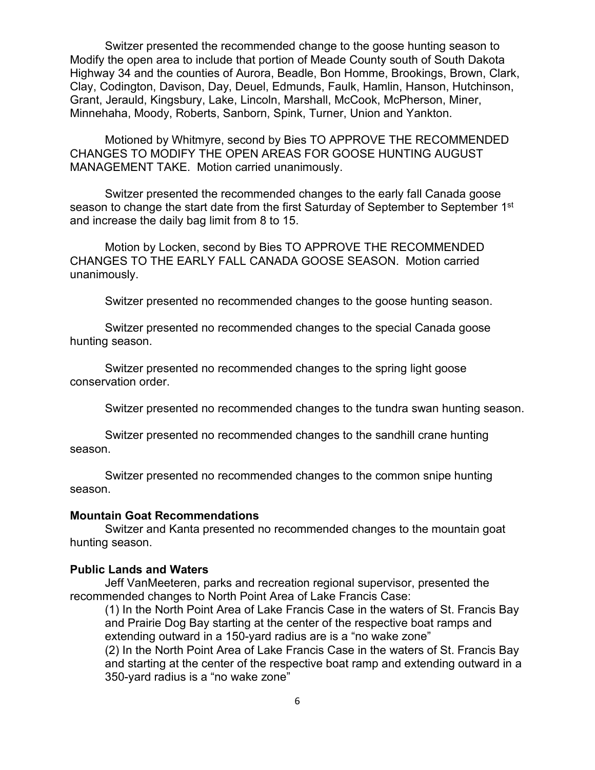Switzer presented the recommended change to the goose hunting season to Modify the open area to include that portion of Meade County south of South Dakota Highway 34 and the counties of Aurora, Beadle, Bon Homme, Brookings, Brown, Clark, Clay, Codington, Davison, Day, Deuel, Edmunds, Faulk, Hamlin, Hanson, Hutchinson, Grant, Jerauld, Kingsbury, Lake, Lincoln, Marshall, McCook, McPherson, Miner, Minnehaha, Moody, Roberts, Sanborn, Spink, Turner, Union and Yankton.

Motioned by Whitmyre, second by Bies TO APPROVE THE RECOMMENDED CHANGES TO MODIFY THE OPEN AREAS FOR GOOSE HUNTING AUGUST MANAGEMENT TAKE. Motion carried unanimously.

Switzer presented the recommended changes to the early fall Canada goose season to change the start date from the first Saturday of September to September 1<sup>st</sup> and increase the daily bag limit from 8 to 15.

Motion by Locken, second by Bies TO APPROVE THE RECOMMENDED CHANGES TO THE EARLY FALL CANADA GOOSE SEASON. Motion carried unanimously.

Switzer presented no recommended changes to the goose hunting season.

Switzer presented no recommended changes to the special Canada goose hunting season.

Switzer presented no recommended changes to the spring light goose conservation order.

Switzer presented no recommended changes to the tundra swan hunting season.

Switzer presented no recommended changes to the sandhill crane hunting season.

Switzer presented no recommended changes to the common snipe hunting season.

#### **Mountain Goat Recommendations**

Switzer and Kanta presented no recommended changes to the mountain goat hunting season.

# **Public Lands and Waters**

Jeff VanMeeteren, parks and recreation regional supervisor, presented the recommended changes to North Point Area of Lake Francis Case:

(1) In the North Point Area of Lake Francis Case in the waters of St. Francis Bay and Prairie Dog Bay starting at the center of the respective boat ramps and extending outward in a 150-yard radius are is a "no wake zone"

(2) In the North Point Area of Lake Francis Case in the waters of St. Francis Bay and starting at the center of the respective boat ramp and extending outward in a 350-yard radius is a "no wake zone"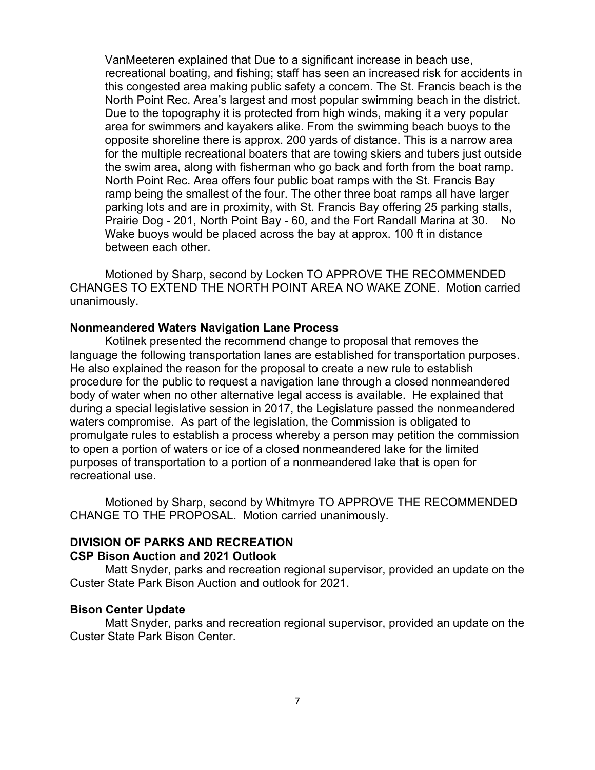VanMeeteren explained that Due to a significant increase in beach use, recreational boating, and fishing; staff has seen an increased risk for accidents in this congested area making public safety a concern. The St. Francis beach is the North Point Rec. Area's largest and most popular swimming beach in the district. Due to the topography it is protected from high winds, making it a very popular area for swimmers and kayakers alike. From the swimming beach buoys to the opposite shoreline there is approx. 200 yards of distance. This is a narrow area for the multiple recreational boaters that are towing skiers and tubers just outside the swim area, along with fisherman who go back and forth from the boat ramp. North Point Rec. Area offers four public boat ramps with the St. Francis Bay ramp being the smallest of the four. The other three boat ramps all have larger parking lots and are in proximity, with St. Francis Bay offering 25 parking stalls, Prairie Dog - 201, North Point Bay - 60, and the Fort Randall Marina at 30. No Wake buoys would be placed across the bay at approx. 100 ft in distance between each other.

Motioned by Sharp, second by Locken TO APPROVE THE RECOMMENDED CHANGES TO EXTEND THE NORTH POINT AREA NO WAKE ZONE. Motion carried unanimously.

#### **Nonmeandered Waters Navigation Lane Process**

Kotilnek presented the recommend change to proposal that removes the language the following transportation lanes are established for transportation purposes. He also explained the reason for the proposal to create a new rule to establish procedure for the public to request a navigation lane through a closed nonmeandered body of water when no other alternative legal access is available. He explained that during a special legislative session in 2017, the Legislature passed the nonmeandered waters compromise. As part of the legislation, the Commission is obligated to promulgate rules to establish a process whereby a person may petition the commission to open a portion of waters or ice of a closed nonmeandered lake for the limited purposes of transportation to a portion of a nonmeandered lake that is open for recreational use.

Motioned by Sharp, second by Whitmyre TO APPROVE THE RECOMMENDED CHANGE TO THE PROPOSAL. Motion carried unanimously.

#### **DIVISION OF PARKS AND RECREATION CSP Bison Auction and 2021 Outlook**

Matt Snyder, parks and recreation regional supervisor, provided an update on the Custer State Park Bison Auction and outlook for 2021.

### **Bison Center Update**

Matt Snyder, parks and recreation regional supervisor, provided an update on the Custer State Park Bison Center.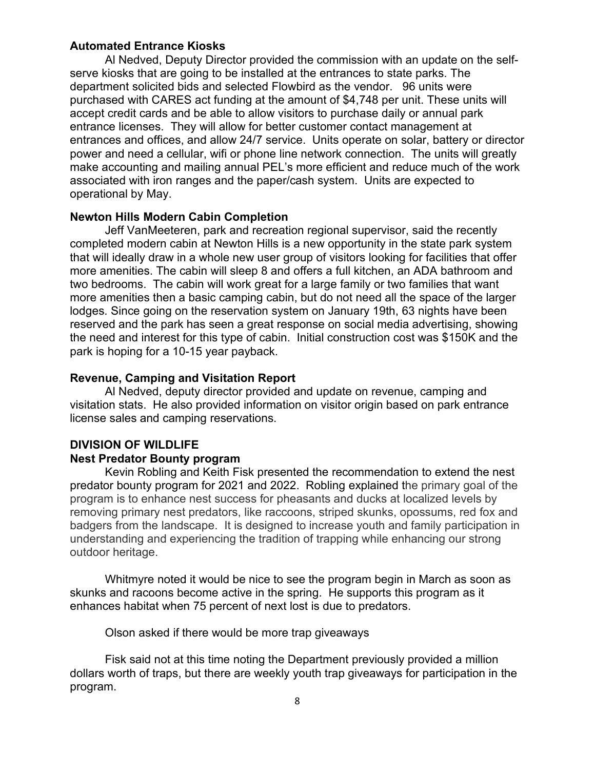#### **Automated Entrance Kiosks**

Al Nedved, Deputy Director provided the commission with an update on the selfserve kiosks that are going to be installed at the entrances to state parks. The department solicited bids and selected Flowbird as the vendor. 96 units were purchased with CARES act funding at the amount of \$4,748 per unit. These units will accept credit cards and be able to allow visitors to purchase daily or annual park entrance licenses. They will allow for better customer contact management at entrances and offices, and allow 24/7 service. Units operate on solar, battery or director power and need a cellular, wifi or phone line network connection. The units will greatly make accounting and mailing annual PEL's more efficient and reduce much of the work associated with iron ranges and the paper/cash system. Units are expected to operational by May.

## **Newton Hills Modern Cabin Completion**

Jeff VanMeeteren, park and recreation regional supervisor, said the recently completed modern cabin at Newton Hills is a new opportunity in the state park system that will ideally draw in a whole new user group of visitors looking for facilities that offer more amenities. The cabin will sleep 8 and offers a full kitchen, an ADA bathroom and two bedrooms. The cabin will work great for a large family or two families that want more amenities then a basic camping cabin, but do not need all the space of the larger lodges. Since going on the reservation system on January 19th, 63 nights have been reserved and the park has seen a great response on social media advertising, showing the need and interest for this type of cabin. Initial construction cost was \$150K and the park is hoping for a 10-15 year payback.

#### **Revenue, Camping and Visitation Report**

Al Nedved, deputy director provided and update on revenue, camping and visitation stats. He also provided information on visitor origin based on park entrance license sales and camping reservations.

# **DIVISION OF WILDLIFE Nest Predator Bounty program**

Kevin Robling and Keith Fisk presented the recommendation to extend the nest predator bounty program for 2021 and 2022. Robling explained the primary goal of the program is to enhance nest success for pheasants and ducks at localized levels by removing primary nest predators, like raccoons, striped skunks, opossums, red fox and badgers from the landscape. It is designed to increase youth and family participation in understanding and experiencing the tradition of trapping while enhancing our strong outdoor heritage.

Whitmyre noted it would be nice to see the program begin in March as soon as skunks and racoons become active in the spring. He supports this program as it enhances habitat when 75 percent of next lost is due to predators.

Olson asked if there would be more trap giveaways

Fisk said not at this time noting the Department previously provided a million dollars worth of traps, but there are weekly youth trap giveaways for participation in the program.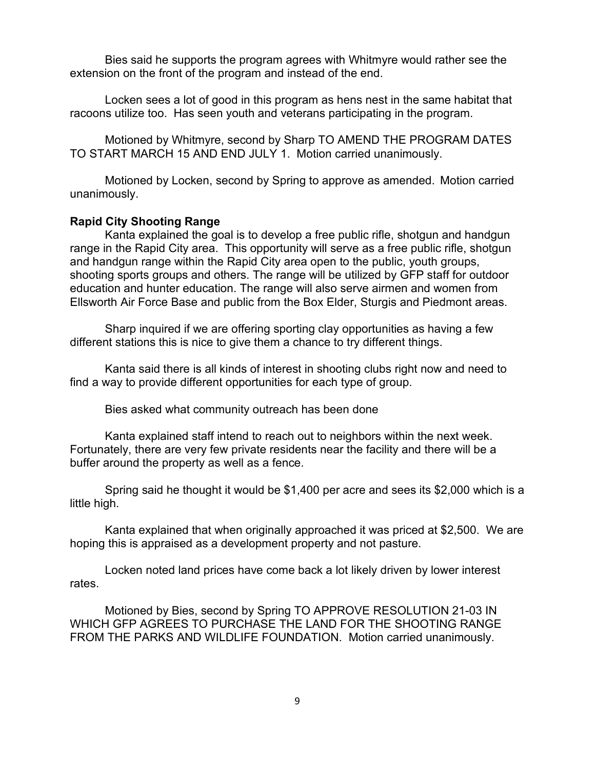Bies said he supports the program agrees with Whitmyre would rather see the extension on the front of the program and instead of the end.

Locken sees a lot of good in this program as hens nest in the same habitat that racoons utilize too. Has seen youth and veterans participating in the program.

Motioned by Whitmyre, second by Sharp TO AMEND THE PROGRAM DATES TO START MARCH 15 AND END JULY 1. Motion carried unanimously.

Motioned by Locken, second by Spring to approve as amended. Motion carried unanimously.

### **Rapid City Shooting Range**

Kanta explained the goal is to develop a free public rifle, shotgun and handgun range in the Rapid City area. This opportunity will serve as a free public rifle, shotgun and handgun range within the Rapid City area open to the public, youth groups, shooting sports groups and others. The range will be utilized by GFP staff for outdoor education and hunter education. The range will also serve airmen and women from Ellsworth Air Force Base and public from the Box Elder, Sturgis and Piedmont areas.

Sharp inquired if we are offering sporting clay opportunities as having a few different stations this is nice to give them a chance to try different things.

Kanta said there is all kinds of interest in shooting clubs right now and need to find a way to provide different opportunities for each type of group.

Bies asked what community outreach has been done

Kanta explained staff intend to reach out to neighbors within the next week. Fortunately, there are very few private residents near the facility and there will be a buffer around the property as well as a fence.

Spring said he thought it would be \$1,400 per acre and sees its \$2,000 which is a little high.

Kanta explained that when originally approached it was priced at \$2,500. We are hoping this is appraised as a development property and not pasture.

Locken noted land prices have come back a lot likely driven by lower interest rates.

Motioned by Bies, second by Spring TO APPROVE RESOLUTION 21-03 IN WHICH GFP AGREES TO PURCHASE THE LAND FOR THE SHOOTING RANGE FROM THE PARKS AND WILDLIFE FOUNDATION. Motion carried unanimously.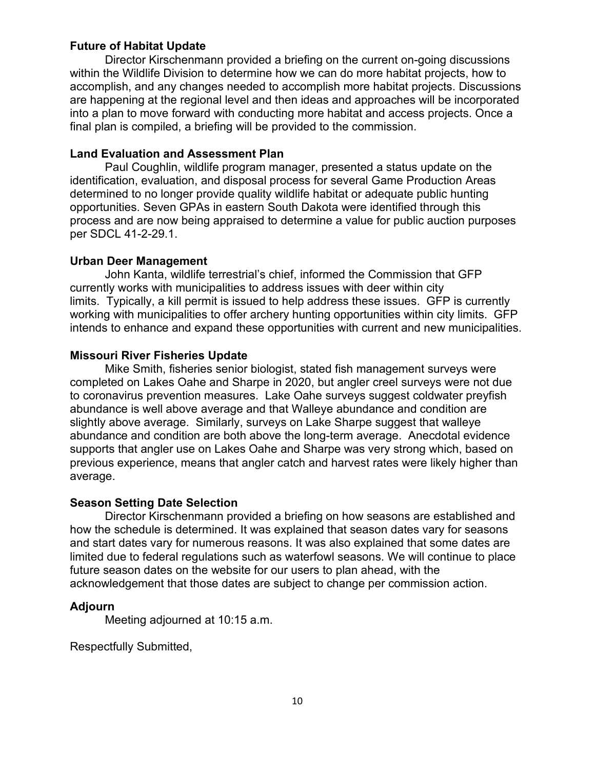# **Future of Habitat Update**

Director Kirschenmann provided a briefing on the current on-going discussions within the Wildlife Division to determine how we can do more habitat projects, how to accomplish, and any changes needed to accomplish more habitat projects. Discussions are happening at the regional level and then ideas and approaches will be incorporated into a plan to move forward with conducting more habitat and access projects. Once a final plan is compiled, a briefing will be provided to the commission.

### **Land Evaluation and Assessment Plan**

Paul Coughlin, wildlife program manager, presented a status update on the identification, evaluation, and disposal process for several Game Production Areas determined to no longer provide quality wildlife habitat or adequate public hunting opportunities. Seven GPAs in eastern South Dakota were identified through this process and are now being appraised to determine a value for public auction purposes per SDCL 41-2-29.1.

# **Urban Deer Management**

John Kanta, wildlife terrestrial's chief, informed the Commission that GFP currently works with municipalities to address issues with deer within city limits. Typically, a kill permit is issued to help address these issues. GFP is currently working with municipalities to offer archery hunting opportunities within city limits. GFP intends to enhance and expand these opportunities with current and new municipalities.

### **Missouri River Fisheries Update**

Mike Smith, fisheries senior biologist, stated fish management surveys were completed on Lakes Oahe and Sharpe in 2020, but angler creel surveys were not due to coronavirus prevention measures. Lake Oahe surveys suggest coldwater preyfish abundance is well above average and that Walleye abundance and condition are slightly above average. Similarly, surveys on Lake Sharpe suggest that walleye abundance and condition are both above the long-term average. Anecdotal evidence supports that angler use on Lakes Oahe and Sharpe was very strong which, based on previous experience, means that angler catch and harvest rates were likely higher than average.

# **Season Setting Date Selection**

Director Kirschenmann provided a briefing on how seasons are established and how the schedule is determined. It was explained that season dates vary for seasons and start dates vary for numerous reasons. It was also explained that some dates are limited due to federal regulations such as waterfowl seasons. We will continue to place future season dates on the website for our users to plan ahead, with the acknowledgement that those dates are subject to change per commission action.

#### **Adjourn**

Meeting adjourned at 10:15 a.m.

Respectfully Submitted,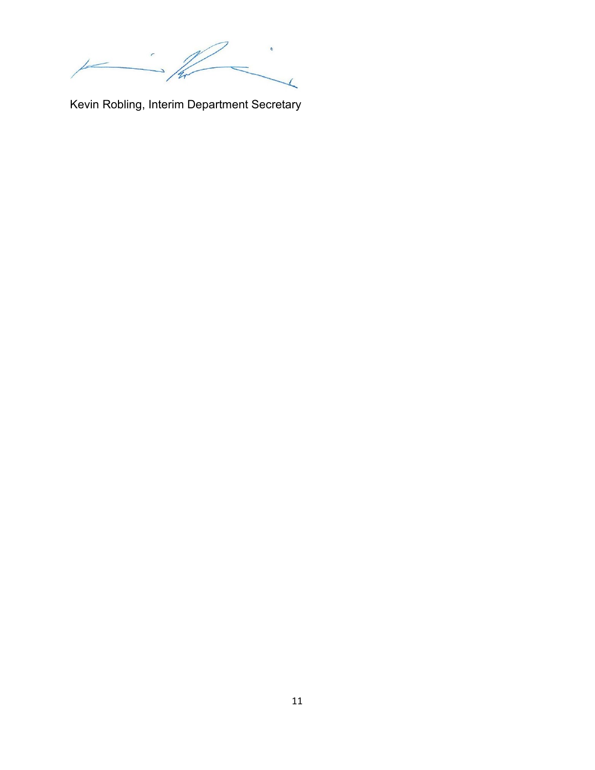$\overline{1}$ 

Kevin Robling, Interim Department Secretary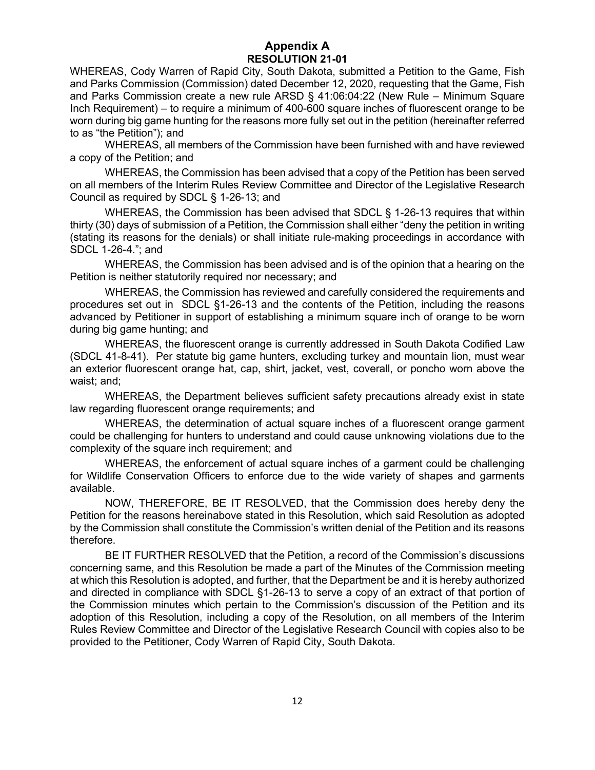# **Appendix A RESOLUTION 21-01**

WHEREAS, Cody Warren of Rapid City, South Dakota, submitted a Petition to the Game, Fish and Parks Commission (Commission) dated December 12, 2020, requesting that the Game, Fish and Parks Commission create a new rule ARSD § 41:06:04:22 (New Rule – Minimum Square Inch Requirement) – to require a minimum of 400-600 square inches of fluorescent orange to be worn during big game hunting for the reasons more fully set out in the petition (hereinafter referred to as "the Petition"); and

WHEREAS, all members of the Commission have been furnished with and have reviewed a copy of the Petition; and

WHEREAS, the Commission has been advised that a copy of the Petition has been served on all members of the Interim Rules Review Committee and Director of the Legislative Research Council as required by SDCL § 1-26-13; and

WHEREAS, the Commission has been advised that SDCL § 1-26-13 requires that within thirty (30) days of submission of a Petition, the Commission shall either "deny the petition in writing (stating its reasons for the denials) or shall initiate rule-making proceedings in accordance with SDCL 1-26-4."; and

WHEREAS, the Commission has been advised and is of the opinion that a hearing on the Petition is neither statutorily required nor necessary; and

WHEREAS, the Commission has reviewed and carefully considered the requirements and procedures set out in SDCL §1-26-13 and the contents of the Petition, including the reasons advanced by Petitioner in support of establishing a minimum square inch of orange to be worn during big game hunting; and

WHEREAS, the fluorescent orange is currently addressed in South Dakota Codified Law (SDCL 41-8-41). Per statute big game hunters, excluding turkey and mountain lion, must wear an exterior fluorescent orange hat, cap, shirt, jacket, vest, coverall, or poncho worn above the waist; and;

WHEREAS, the Department believes sufficient safety precautions already exist in state law regarding fluorescent orange requirements; and

WHEREAS, the determination of actual square inches of a fluorescent orange garment could be challenging for hunters to understand and could cause unknowing violations due to the complexity of the square inch requirement; and

WHEREAS, the enforcement of actual square inches of a garment could be challenging for Wildlife Conservation Officers to enforce due to the wide variety of shapes and garments available.

NOW, THEREFORE, BE IT RESOLVED, that the Commission does hereby deny the Petition for the reasons hereinabove stated in this Resolution, which said Resolution as adopted by the Commission shall constitute the Commission's written denial of the Petition and its reasons therefore.

BE IT FURTHER RESOLVED that the Petition, a record of the Commission's discussions concerning same, and this Resolution be made a part of the Minutes of the Commission meeting at which this Resolution is adopted, and further, that the Department be and it is hereby authorized and directed in compliance with SDCL §1-26-13 to serve a copy of an extract of that portion of the Commission minutes which pertain to the Commission's discussion of the Petition and its adoption of this Resolution, including a copy of the Resolution, on all members of the Interim Rules Review Committee and Director of the Legislative Research Council with copies also to be provided to the Petitioner, Cody Warren of Rapid City, South Dakota.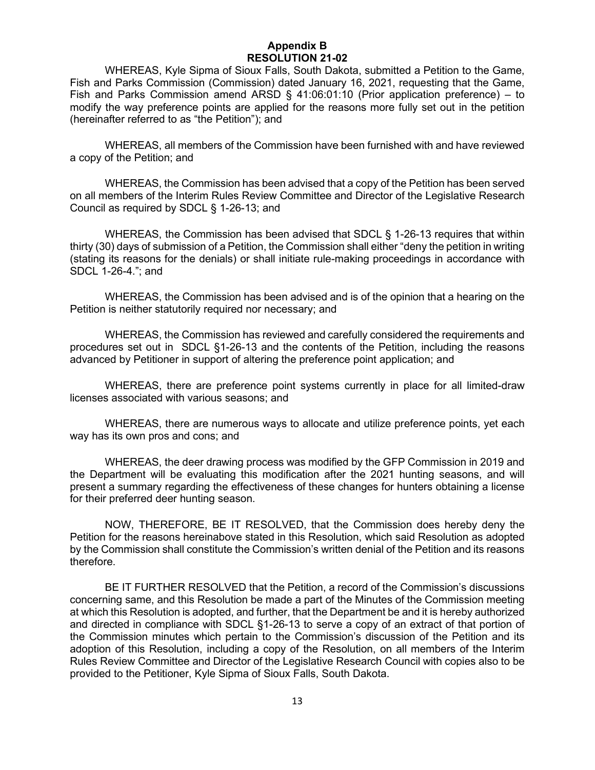## **Appendix B RESOLUTION 21-02**

WHEREAS, Kyle Sipma of Sioux Falls, South Dakota, submitted a Petition to the Game, Fish and Parks Commission (Commission) dated January 16, 2021, requesting that the Game, Fish and Parks Commission amend ARSD  $\S$  41:06:01:10 (Prior application preference) – to modify the way preference points are applied for the reasons more fully set out in the petition (hereinafter referred to as "the Petition"); and

WHEREAS, all members of the Commission have been furnished with and have reviewed a copy of the Petition; and

WHEREAS, the Commission has been advised that a copy of the Petition has been served on all members of the Interim Rules Review Committee and Director of the Legislative Research Council as required by SDCL § 1-26-13; and

WHEREAS, the Commission has been advised that SDCL § 1-26-13 requires that within thirty (30) days of submission of a Petition, the Commission shall either "deny the petition in writing (stating its reasons for the denials) or shall initiate rule-making proceedings in accordance with SDCL 1-26-4."; and

WHEREAS, the Commission has been advised and is of the opinion that a hearing on the Petition is neither statutorily required nor necessary; and

WHEREAS, the Commission has reviewed and carefully considered the requirements and procedures set out in SDCL §1-26-13 and the contents of the Petition, including the reasons advanced by Petitioner in support of altering the preference point application; and

WHEREAS, there are preference point systems currently in place for all limited-draw licenses associated with various seasons; and

WHEREAS, there are numerous ways to allocate and utilize preference points, yet each way has its own pros and cons; and

WHEREAS, the deer drawing process was modified by the GFP Commission in 2019 and the Department will be evaluating this modification after the 2021 hunting seasons, and will present a summary regarding the effectiveness of these changes for hunters obtaining a license for their preferred deer hunting season.

NOW, THEREFORE, BE IT RESOLVED, that the Commission does hereby deny the Petition for the reasons hereinabove stated in this Resolution, which said Resolution as adopted by the Commission shall constitute the Commission's written denial of the Petition and its reasons therefore.

BE IT FURTHER RESOLVED that the Petition, a record of the Commission's discussions concerning same, and this Resolution be made a part of the Minutes of the Commission meeting at which this Resolution is adopted, and further, that the Department be and it is hereby authorized and directed in compliance with SDCL §1-26-13 to serve a copy of an extract of that portion of the Commission minutes which pertain to the Commission's discussion of the Petition and its adoption of this Resolution, including a copy of the Resolution, on all members of the Interim Rules Review Committee and Director of the Legislative Research Council with copies also to be provided to the Petitioner, Kyle Sipma of Sioux Falls, South Dakota.